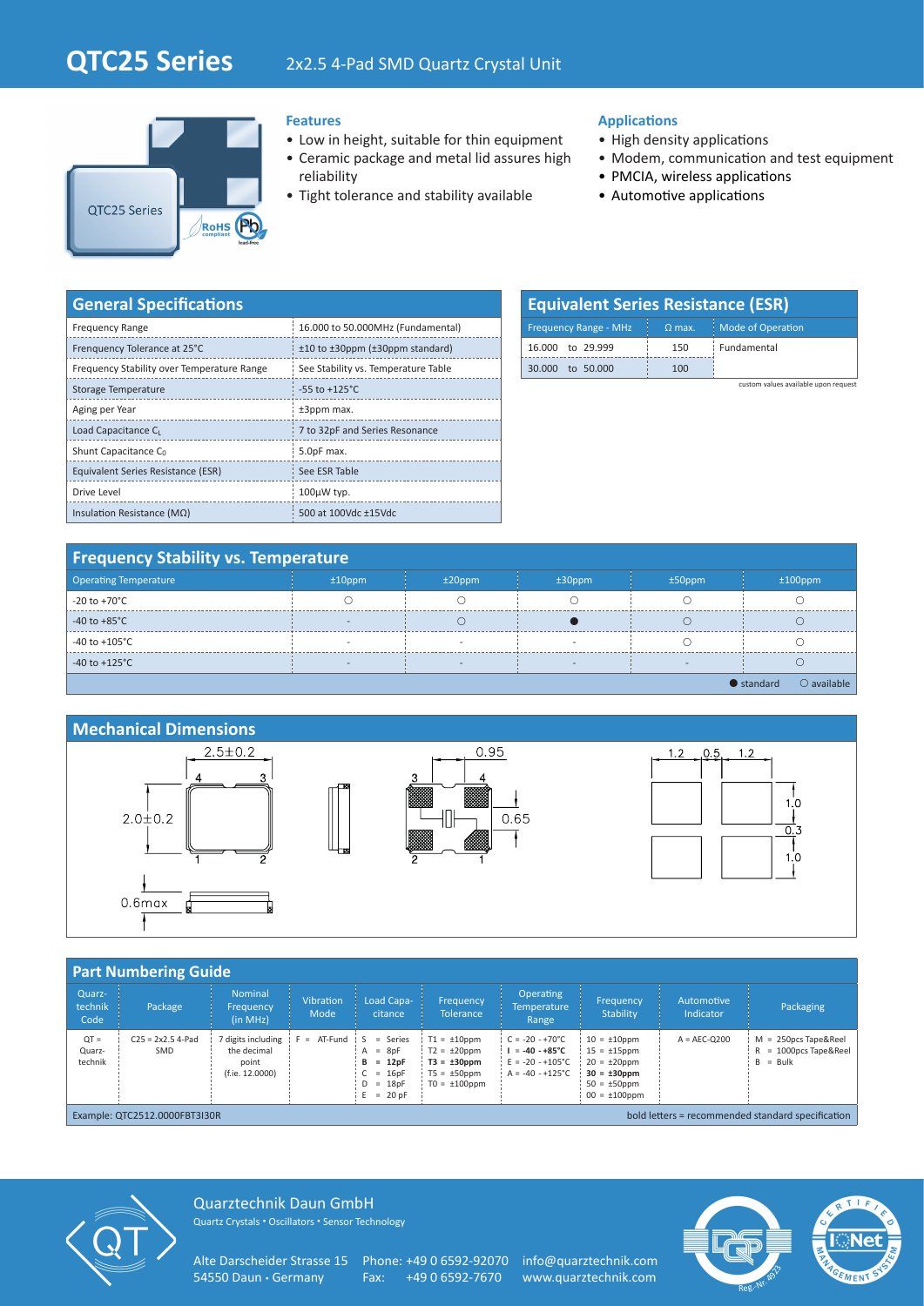

## **Features**

- Low in height, suitable for thin equipment
- Ceramic package and metal lid assures high reliability
- Tight tolerance and stability available

## **Applications**

- High density applications
- Modem, communication and test equipment
- PMCIA, wireless applications
- Automotive applications

| <b>General Specifications</b>              |                                          |  |  |  |  |  |  |
|--------------------------------------------|------------------------------------------|--|--|--|--|--|--|
| <b>Frequency Range</b>                     | 16.000 to 50.000MHz (Fundamental)        |  |  |  |  |  |  |
| Frenquency Tolerance at 25°C               | $±10$ to $±30$ ppm ( $±30$ ppm standard) |  |  |  |  |  |  |
| Frequency Stability over Temperature Range | See Stability vs. Temperature Table      |  |  |  |  |  |  |
| Storage Temperature                        | $-55$ to $+125^{\circ}$ C                |  |  |  |  |  |  |
| Aging per Year                             | ±3ppm max.                               |  |  |  |  |  |  |
| Load Capacitance CL                        | 7 to 32pF and Series Resonance           |  |  |  |  |  |  |
| Shunt Capacitance C <sub>0</sub>           | 5.0pF max.                               |  |  |  |  |  |  |
| Equivalent Series Resistance (ESR)         | See ESR Table                            |  |  |  |  |  |  |
| Drive Level                                | 100µW typ.                               |  |  |  |  |  |  |
| Insulation Resistance ( $M\Omega$ )        | 500 at 100Vdc ±15Vdc                     |  |  |  |  |  |  |

| <b>Equivalent Series Resistance (ESR)</b> |               |                          |  |  |  |  |  |
|-------------------------------------------|---------------|--------------------------|--|--|--|--|--|
| <b>Frequency Range - MHz</b>              | $\Omega$ max. | <b>Mode of Operation</b> |  |  |  |  |  |
| 16,000 to 29,999                          | 150           | Fundamental              |  |  |  |  |  |
| to 50,000<br>30.000                       | 100           |                          |  |  |  |  |  |

custom values available upon request

| <b>Frequency Stability vs. Temperature</b> |                          |                          |           |                          |                                            |  |  |  |
|--------------------------------------------|--------------------------|--------------------------|-----------|--------------------------|--------------------------------------------|--|--|--|
| <b>Operating Temperature</b>               | $±10$ ppm                | $±20$ ppm                | $±30$ ppm | $±50$ ppm                | $±100$ ppm                                 |  |  |  |
| -20 to +70°C                               |                          |                          |           |                          |                                            |  |  |  |
| $-40$ to $+85^{\circ}$ C                   |                          |                          |           |                          |                                            |  |  |  |
| $-40$ to $+105^{\circ}$ C                  |                          |                          |           |                          |                                            |  |  |  |
| -40 to +125 $^{\circ}$ C                   | $\overline{\phantom{a}}$ | $\overline{\phantom{a}}$ |           | $\overline{\phantom{a}}$ |                                            |  |  |  |
|                                            |                          |                          |           |                          | $\bullet$ standard<br>$\bigcirc$ available |  |  |  |

## **Mechanical Dimensions**







| <b>Part Numbering Guide</b>                                                        |                            |                                                               |                          |                                                                                                  |                                                                                                     |                                                                                                          |                                                                                                                             |                         |                                                                    |
|------------------------------------------------------------------------------------|----------------------------|---------------------------------------------------------------|--------------------------|--------------------------------------------------------------------------------------------------|-----------------------------------------------------------------------------------------------------|----------------------------------------------------------------------------------------------------------|-----------------------------------------------------------------------------------------------------------------------------|-------------------------|--------------------------------------------------------------------|
| Quarz-<br>technik<br>Code                                                          | Package                    | <b>Nominal</b><br>Frequency<br>(in MHz)                       | <b>Vibration</b><br>Mode | Load Capa-<br>citance                                                                            | Frequency<br><b>Tolerance</b>                                                                       | <b>Operating</b><br><b>Temperature</b><br>Range                                                          | Frequency<br>Stability                                                                                                      | Automotive<br>Indicator | Packaging                                                          |
| $QT =$<br>Quarz-<br>technik                                                        | $C25 = 2x2.5$ 4-Pad<br>SMD | 7 digits including<br>the decimal<br>point<br>(f.ie. 12.0000) | $F = AT-Fund$            | $=$ Series<br>S<br>$=$ 8pF<br>A<br>$= 12pF$<br>в<br>$= 16pF$<br>$= 18pF$<br>D<br>$= 20 pF$<br>E. | $T1 = \pm 10$ ppm<br>$T2 = \pm 20$ ppm<br>$T3 = \pm 30$ ppm<br>$T5 = \pm 50$ ppm<br>$TO = ±100$ ppm | $C = -20 - +70^{\circ}C$<br>$I = -40 - +85^{\circ}C$<br>$E = -20 - +105^{\circ}C$<br>$A = -40 - +125$ °C | $10 = \pm 10$ ppm<br>$15 = \pm 15$ ppm<br>$20 = \pm 20$ ppm<br>$30 = \pm 30$ ppm<br>$50 = \pm 50$ ppm<br>$00 = \pm 100$ ppm | $A = AEC-O200$          | $M = 250DCS$ Tape&Reel<br>$R = 1000$ pcs Tape & Reel<br>$B = Bulk$ |
| bold letters = recommended standard specification<br>Example: QTC2512.0000FBT3I30R |                            |                                                               |                          |                                                                                                  |                                                                                                     |                                                                                                          |                                                                                                                             |                         |                                                                    |



Quarztechnik Daun GmbH Quartz Crystals • Oscillators • Sensor Technology

Alte Darscheider Strasse 15 Phone: +49 0 6592-92070 info@quarztechnik.com<br>54550 Daun · Germany Fax: +49 0 6592-7670 www.quarztechnik.com

Fax: +49 0 6592-7670 www.quarztechnik.com